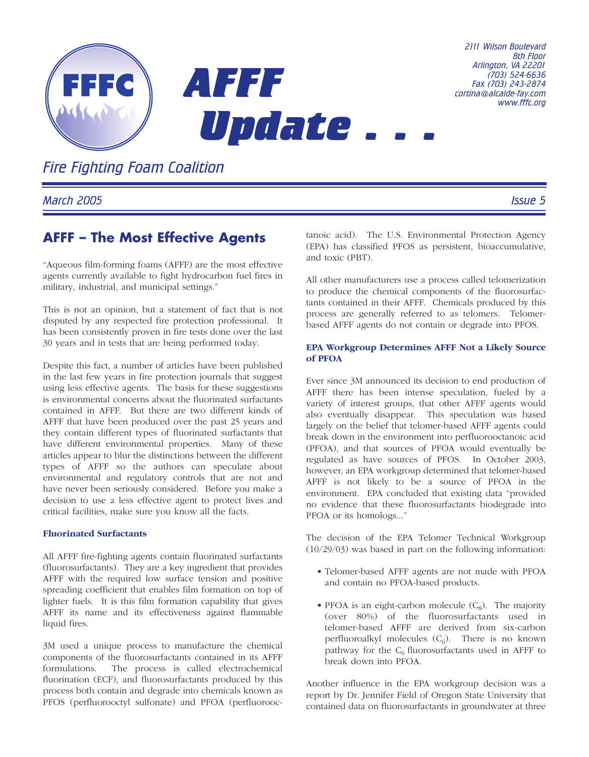

*Fire Fighting Foam Coalition*

*March 2005 Issue 5*

# **AFFF – The Most Effective Agents**

"Aqueous film-forming foams (AFFF) are the most effective agents currently available to fight hydrocarbon fuel fires in military, industrial, and municipal settings."

This is not an opinion, but a statement of fact that is not disputed by any respected fire protection professional. It has been consistently proven in fire tests done over the last 30 years and in tests that are being performed today.

Despite this fact, a number of articles have been published in the last few years in fire protection journals that suggest using less effective agents. The basis for these suggestions is environmental concerns about the fluorinated surfactants contained in AFFF. But there are two different kinds of AFFF that have been produced over the past 25 years and they contain different types of fluorinated surfactants that have different environmental properties. Many of these articles appear to blur the distinctions between the different types of AFFF so the authors can speculate about environmental and regulatory controls that are not and have never been seriously considered. Before you make a decision to use a less effective agent to protect lives and critical facilities, make sure you know all the facts.

### **Fluorinated Surfactants**

All AFFF fire-fighting agents contain fluorinated surfactants (fluorosurfactants). They are a key ingredient that provides AFFF with the required low surface tension and positive spreading coefficient that enables film formation on top of lighter fuels. It is this film formation capability that gives AFFF its name and its effectiveness against flammable liquid fires.

3M used a unique process to manufacture the chemical components of the fluorosurfactants contained in its AFFF formulations. The process is called electrochemical fluorination (ECF), and fluorosurfactants produced by this process both contain and degrade into chemicals known as PFOS (perfluorooctyl sulfonate) and PFOA (perfluorooctanoic acid). The U.S. Environmental Protection Agency (EPA) has classified PFOS as persistent, bioaccumulative, and toxic (PBT).

All other manufacturers use a process called telomerization to produce the chemical components of the fluorosurfactants contained in their AFFF. Chemicals produced by this process are generally referred to as telomers. Telomerbased AFFF agents do not contain or degrade into PFOS.

#### **EPA Workgroup Determines AFFF Not a Likely Source of PFOA**

Ever since 3M announced its decision to end production of AFFF there has been intense speculation, fueled by a variety of interest groups, that other AFFF agents would also eventually disappear. This speculation was based largely on the belief that telomer-based AFFF agents could break down in the environment into perfluorooctanoic acid (PFOA), and that sources of PFOA would eventually be regulated as have sources of PFOS. In October 2003, however, an EPA workgroup determined that telomer-based AFFF is not likely to be a source of PFOA in the environment. EPA concluded that existing data "provided no evidence that these fluorosurfactants biodegrade into PFOA or its homologs..."

The decision of the EPA Telomer Technical Workgroup (10/29/03) was based in part on the following information:

- Telomer-based AFFF agents are not made with PFOA and contain no PFOA-based products.
- PFOA is an eight-carbon molecule  $(C_8)$ . The majority (over 80%) of the fluorosurfactants used in telomer-based AFFF are derived from six-carbon perfluoroalkyl molecules  $(C_6)$ . There is no known pathway for the  $C_6$  fluorosurfactants used in AFFF to break down into PFOA.

Another influence in the EPA workgroup decision was a report by Dr. Jennifer Field of Oregon State University that contained data on fluorosurfactants in groundwater at three

*8th Floor*